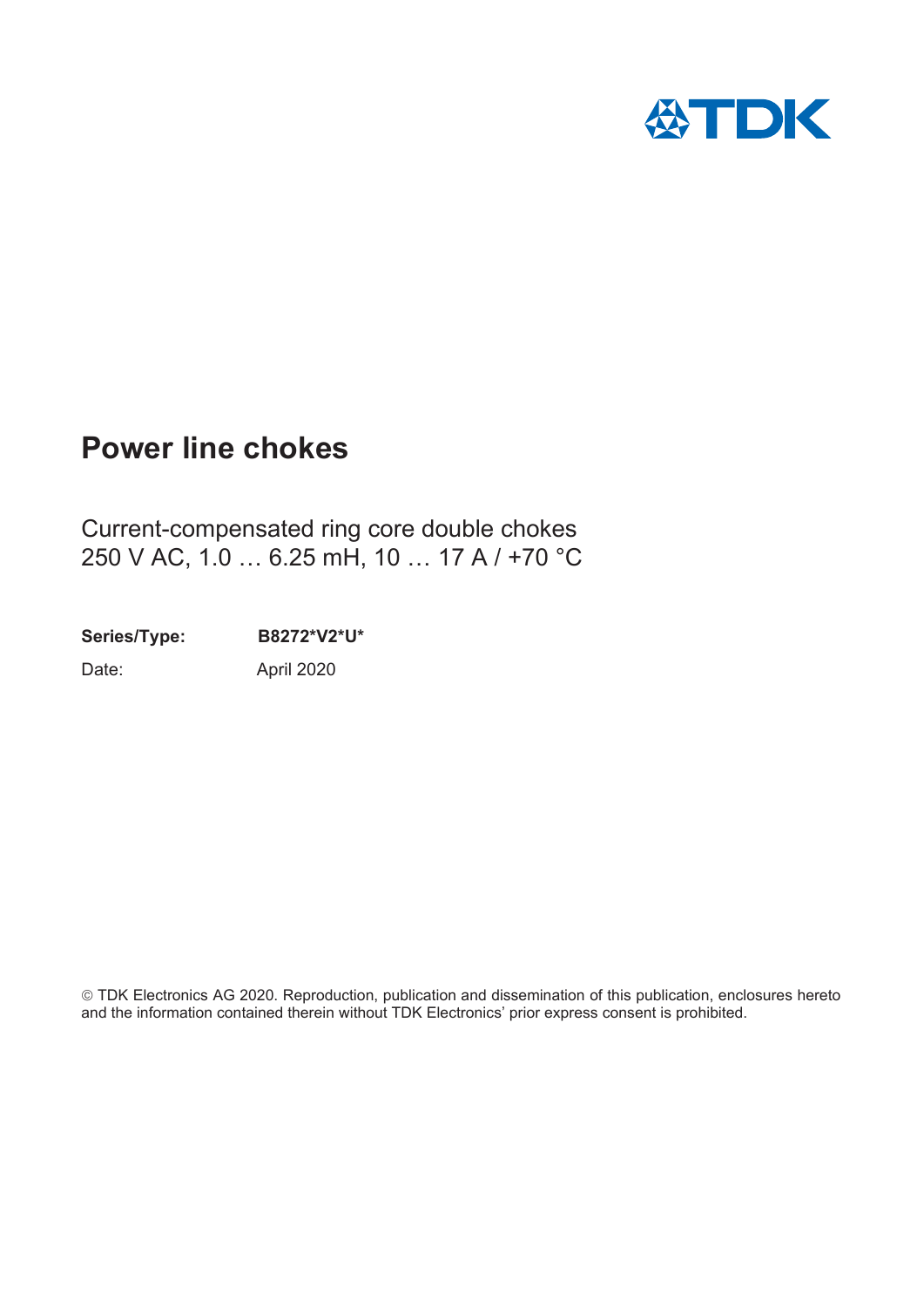

# **Power line chokes**

Current-compensated ring core double chokes 250 V AC, 1.0 … 6.25 mH, 10 … 17 A / +70 °C

**Series/Type: B8272\*V2\*U\***

Date: April 2020

¤TDK Electronics AG 2020. Reproduction, publication and dissemination of this publication, enclosures hereto and the information contained therein without TDK Electronics' prior express consent is prohibited.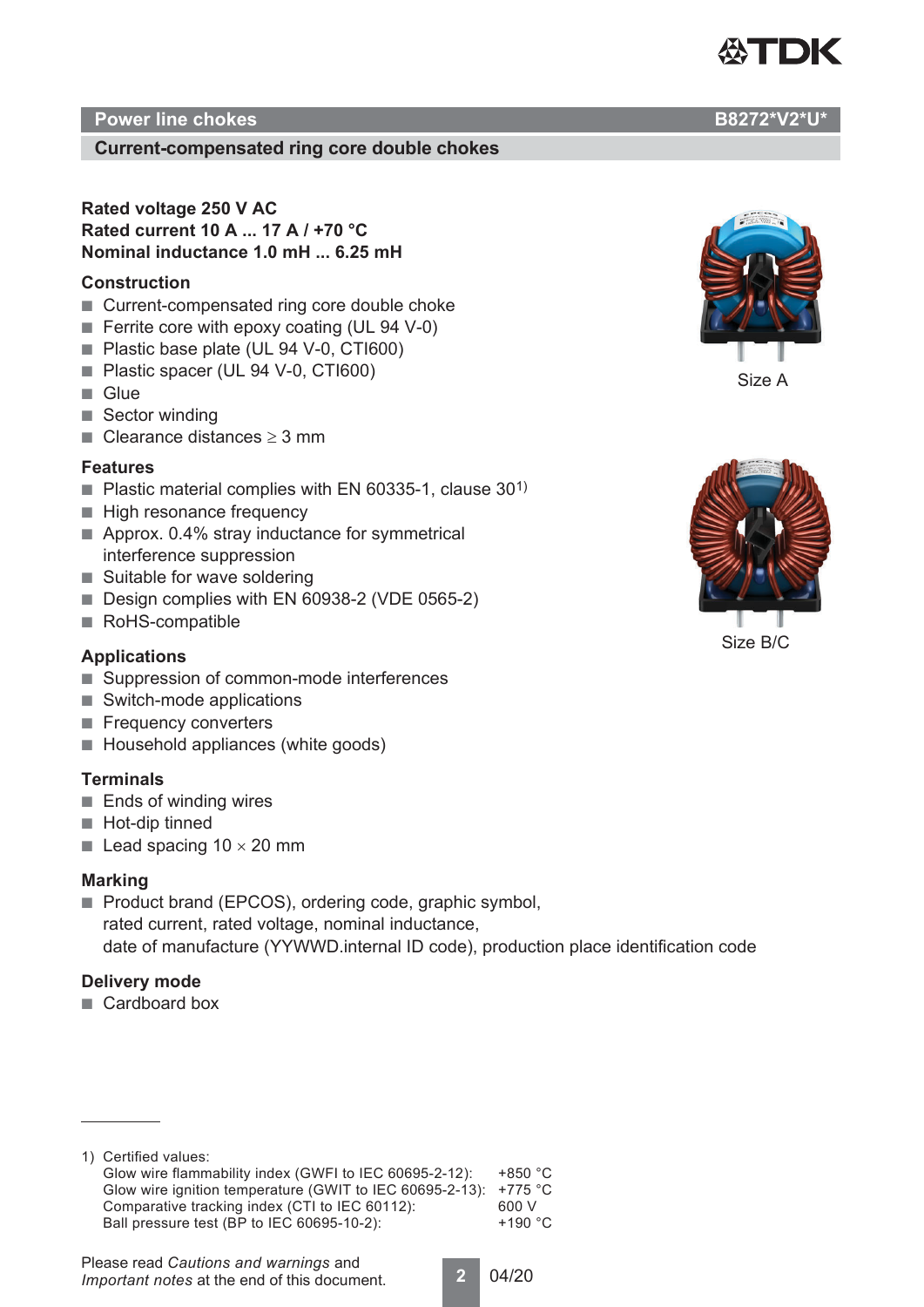

# **Current-compensated ring core double chokes**

**Rated voltage 250 V AC Rated current 10 A ... 17 A / +70 °C Nominal inductance 1.0 mH ... 6.25 mH**

#### **Construction**

- Current-compensated ring core double choke
- Ferrite core with epoxy coating (UL 94 V-0)
- Plastic base plate (UL 94 V-0, CTI600)
- Plastic spacer (UL 94 V-0, CTI600)
- Glue
- Sector winding
- Clearance distances  $\geq 3$  mm

#### **Features**

- Plastic material complies with EN 60335-1, clause  $30<sup>1</sup>$
- High resonance frequency
- Approx. 0.4% stray inductance for symmetrical interference suppression
- Suitable for wave soldering
- Design complies with EN 60938-2 (VDE 0565-2)
- RoHS-compatible

#### **Applications**

- Suppression of common-mode interferences
- Switch-mode applications
- Frequency converters
- Household appliances (white goods)

# **Terminals**

- Ends of winding wires
- Hot-dip tinned
- Lead spacing  $10 \times 20$  mm

#### **Marking**

■ Product brand (EPCOS), ordering code, graphic symbol, rated current, rated voltage, nominal inductance, date of manufacture (YYWWD.internal ID code), production place identification code

#### **Delivery mode**

■ Cardboard box

1) Certified values: Glow wire flammability index (GWFI to IEC 60695-2-12): +850 °C Glow wire ignition temperature (GWIT to IEC 60695-2-13): +775 °C Comparative tracking index (CTI to IEC 60112): 600 V<br>Ball pressure test (BP to IEC 60695-10-2): +190 °C Ball pressure test (BP to IEC 60695-10-2):



**2** 04/20



Size A



Size B/C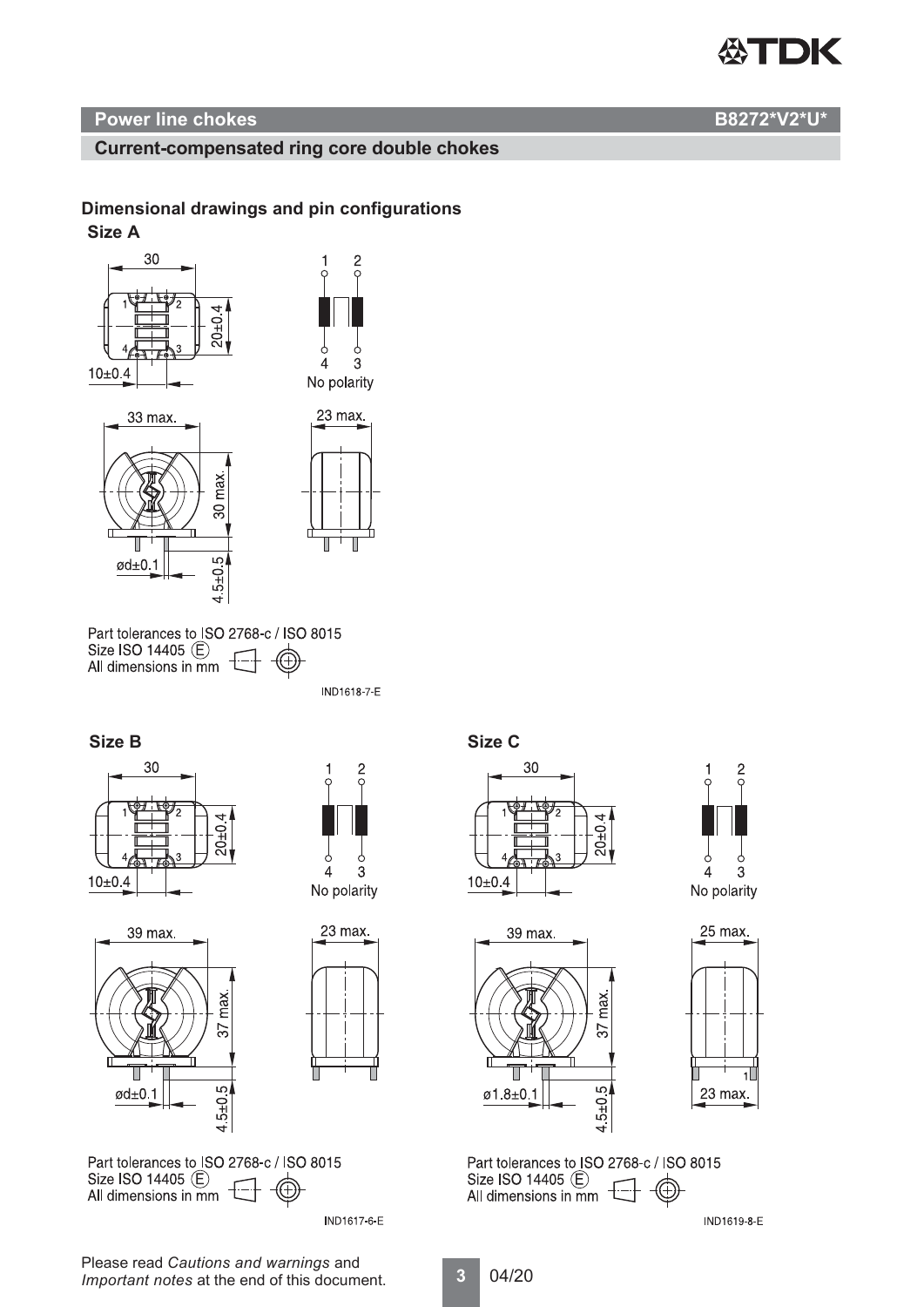

# **Current-compensated ring core double chokes**

# **Dimensional drawings and pin configurations**

#### **Size A**



Part tolerances to ISO 2768-c / ISO 8015 Size ISO 14405 (E) All dimensions in  $\overline{m}$  T

 $5 + 0.5$ 

 $\rightarrow$ 

**IND1618-7-E** 



 $\omega$ d $\pm$ 0.1









Part tolerances to ISO 2768-c / ISO 8015 Size ISO 14405 (E) All dimensions in  $\overline{m}$   $\overline{n}$ 

**IND1617-6-E** 









Part tolerances to ISO 2768-c / ISO 8015 Size ISO 14405 (E) All dimensions in mm  $\pm$ 

**IND1619-8-E** 

Please read *Cautions and warnings* and *Important notes* at the end of this document.

**3** 04/20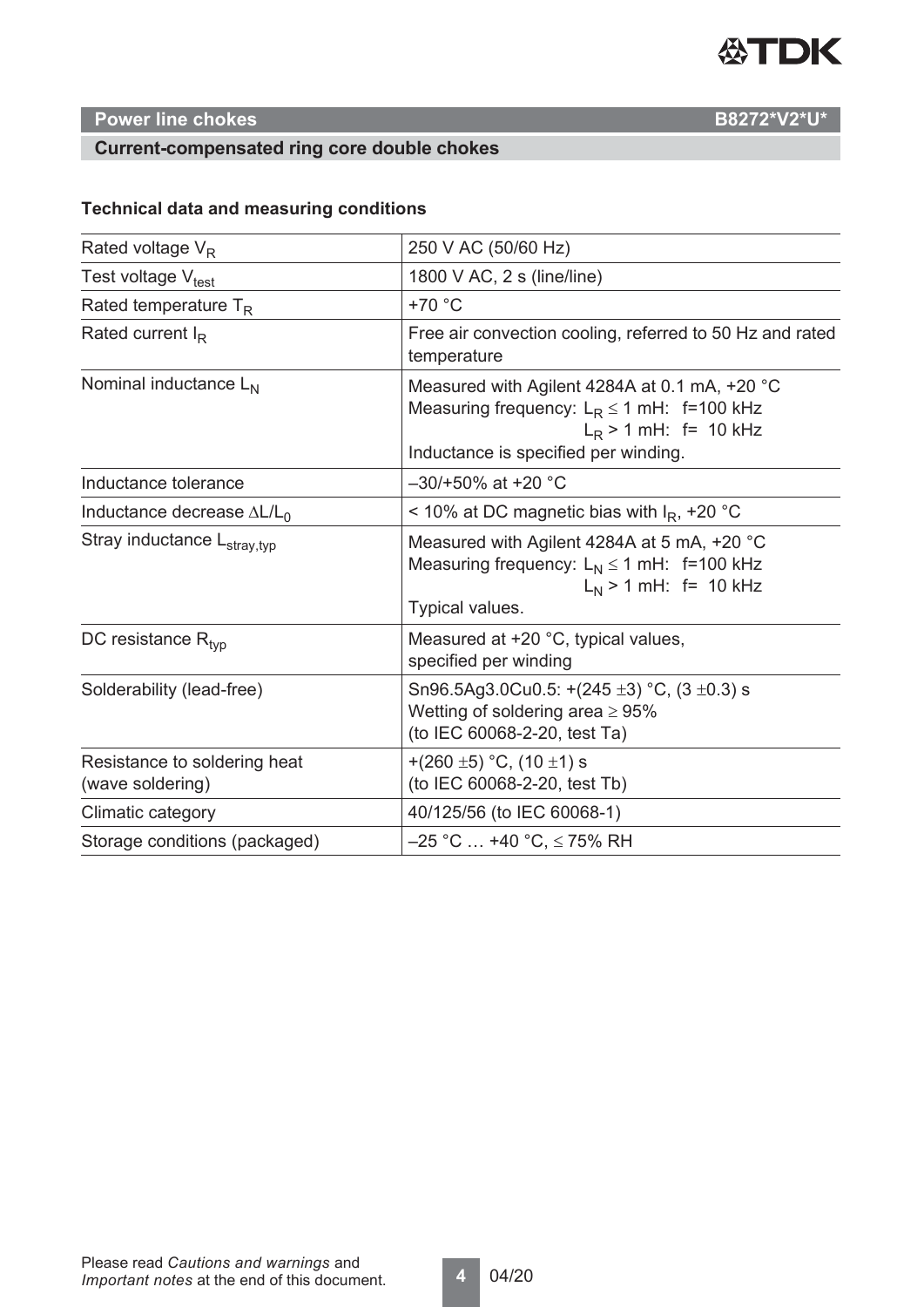

# **Current-compensated ring core double chokes**

# **Technical data and measuring conditions**

| Rated voltage $V_R$                              | 250 V AC (50/60 Hz)                                                                                                                                                |  |  |  |
|--------------------------------------------------|--------------------------------------------------------------------------------------------------------------------------------------------------------------------|--|--|--|
| Test voltage V <sub>test</sub>                   | 1800 V AC, 2 s (line/line)                                                                                                                                         |  |  |  |
| Rated temperature $T_R$                          | $+70 °C$                                                                                                                                                           |  |  |  |
| Rated current $I_R$                              | Free air convection cooling, referred to 50 Hz and rated<br>temperature                                                                                            |  |  |  |
| Nominal inductance L <sub>N</sub>                | Measured with Agilent 4284A at 0.1 mA, +20 °C<br>Measuring frequency: $L_R \le 1$ mH: f=100 kHz<br>$L_R$ > 1 mH: f= 10 kHz<br>Inductance is specified per winding. |  |  |  |
| Inductance tolerance                             | $-30/+50\%$ at +20 °C                                                                                                                                              |  |  |  |
| Inductance decrease $\Delta L/L_0$               | < 10% at DC magnetic bias with $IR$ , +20 °C                                                                                                                       |  |  |  |
| Stray inductance L <sub>stray,typ</sub>          | Measured with Agilent 4284A at 5 mA, +20 °C<br>Measuring frequency: $L_N \le 1$ mH: f=100 kHz<br>$L_N$ > 1 mH: f= 10 kHz<br>Typical values.                        |  |  |  |
| DC resistance $R_{\text{tvp}}$                   | Measured at +20 °C, typical values,<br>specified per winding                                                                                                       |  |  |  |
| Solderability (lead-free)                        | Sn96.5Ag3.0Cu0.5: +(245 $\pm$ 3) °C, (3 $\pm$ 0.3) s<br>Wetting of soldering area $\geq 95\%$<br>(to IEC 60068-2-20, test Ta)                                      |  |  |  |
| Resistance to soldering heat<br>(wave soldering) | +(260 ±5) °C, (10 ±1) s<br>(to IEC 60068-2-20, test Tb)                                                                                                            |  |  |  |
| Climatic category                                | 40/125/56 (to IEC 60068-1)                                                                                                                                         |  |  |  |
| Storage conditions (packaged)                    | $-25$ °C  +40 °C, $\leq$ 75% RH                                                                                                                                    |  |  |  |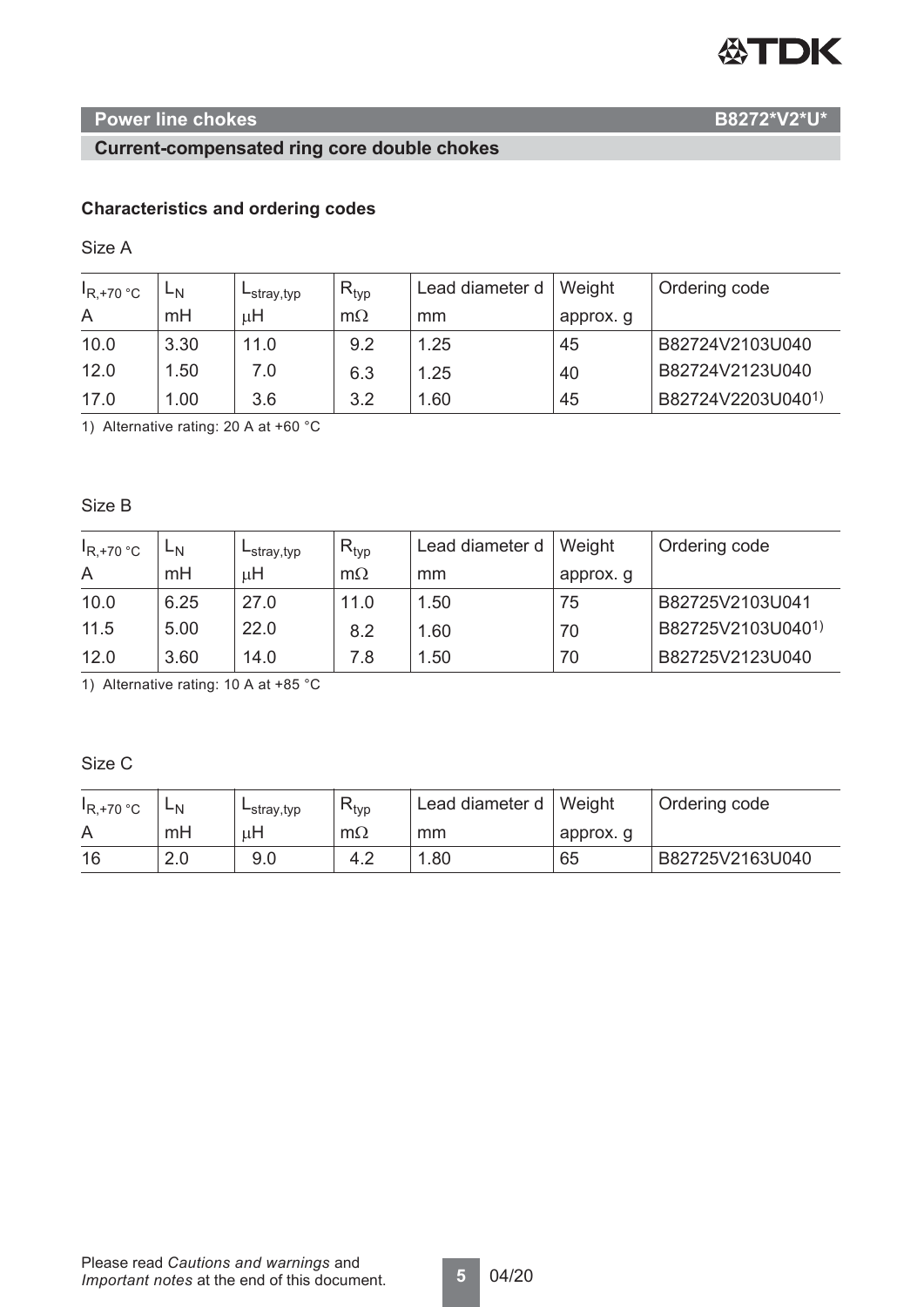# 公TDK

# **Power line chokes B8272\*V2\*U\***

# **Current-compensated ring core double chokes**

# **Characteristics and ordering codes**

Size A

| $R, +70$ °C | ∟N   | $-$ stray, typ | $R_{typ}$ | Lead diameter d | Weight    | Ordering code     |
|-------------|------|----------------|-----------|-----------------|-----------|-------------------|
| A           | mH   | μH             | $m\Omega$ | mm              | approx. g |                   |
| 10.0        | 3.30 | 11.0           | 9.2       | 1.25            | 45        | B82724V2103U040   |
| 12.0        | 1.50 | 7.0            | 6.3       | 1.25            | 40        | B82724V2123U040   |
| 17.0        | 1.00 | 3.6            | 3.2       | .60             | 45        | B82724V2203U0401) |

1) Alternative rating: 20 A at +60 °C

Size B

| $R, +70$ °C | ∟N   | $-$ stray, typ | $R_{typ}$ | Lead diameter d | Weight    | Ordering code     |
|-------------|------|----------------|-----------|-----------------|-----------|-------------------|
| A           | mH   | μH             | $m\Omega$ | mm              | approx. g |                   |
| 10.0        | 6.25 | 27.0           | 11.0      | 1.50            | 75        | B82725V2103U041   |
| 11.5        | 5.00 | 22.0           | 8.2       | 1.60            | 70        | B82725V2103U0401) |
| 12.0        | 3.60 | 14.0           | 7.8       | 1.50            | 70        | B82725V2123U040   |

1) Alternative rating: 10 A at +85 °C

Size C

| $R.+70 °C$ | ЧN  | $-$ stray, typ | $R_{typ}$ | Lead diameter d   Weight |          | Ordering code   |
|------------|-----|----------------|-----------|--------------------------|----------|-----------------|
|            | mH  |                | $m\Omega$ | mm                       | approx.g |                 |
| 16         | 2.0 | 9.0            | 4.2       | .80                      | 65       | B82725V2163U040 |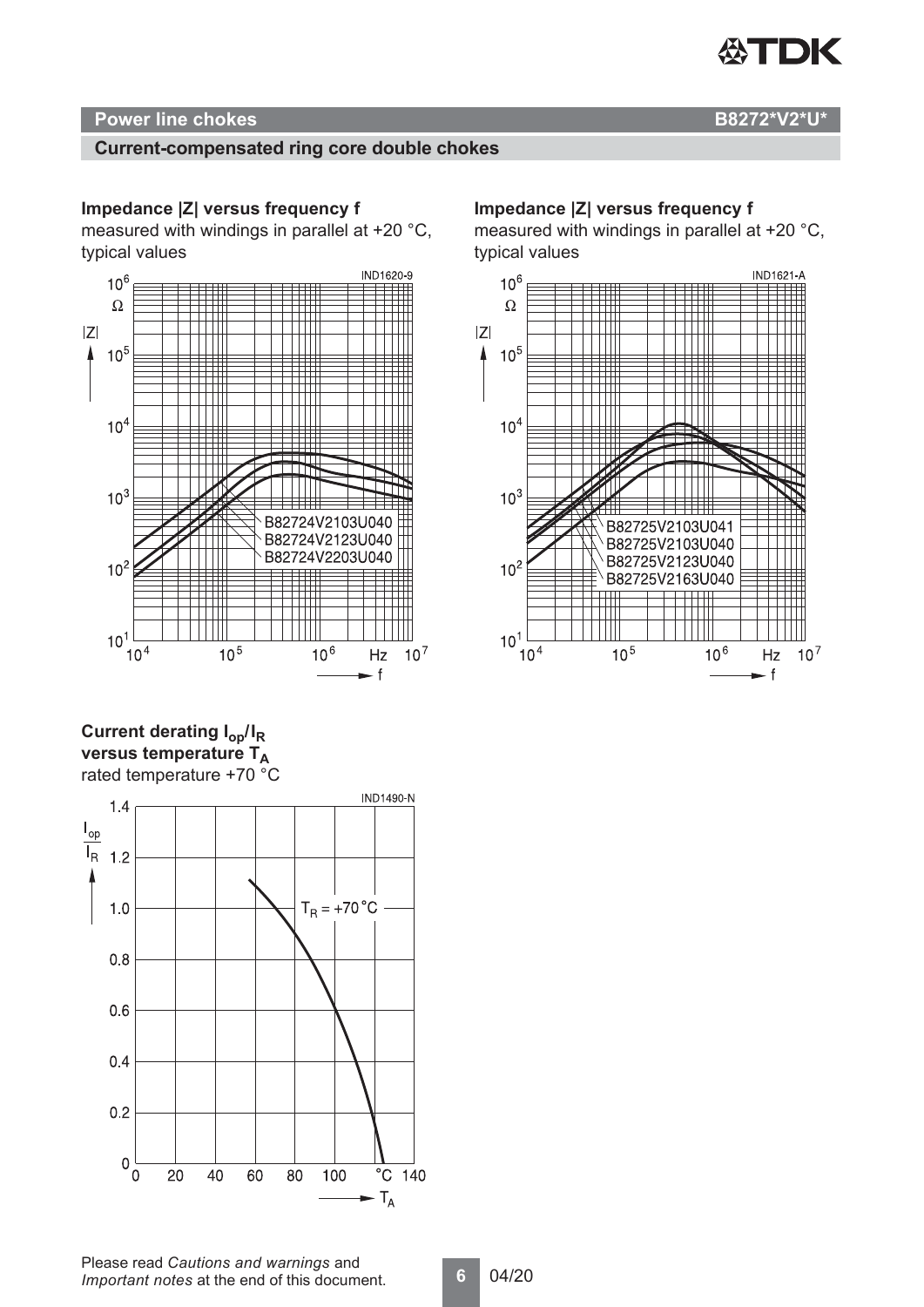

# **Current-compensated ring core double chokes**

# **Impedance |Z| versus frequency f**

measured with windings in parallel at +20 °C, typical values



# **Current derating**  $I_{op}/I_R$ **versus temperature TA** rated temperature +70 °C



#### **Impedance |Z| versus frequency f**

measured with windings in parallel at +20 °C, typical values

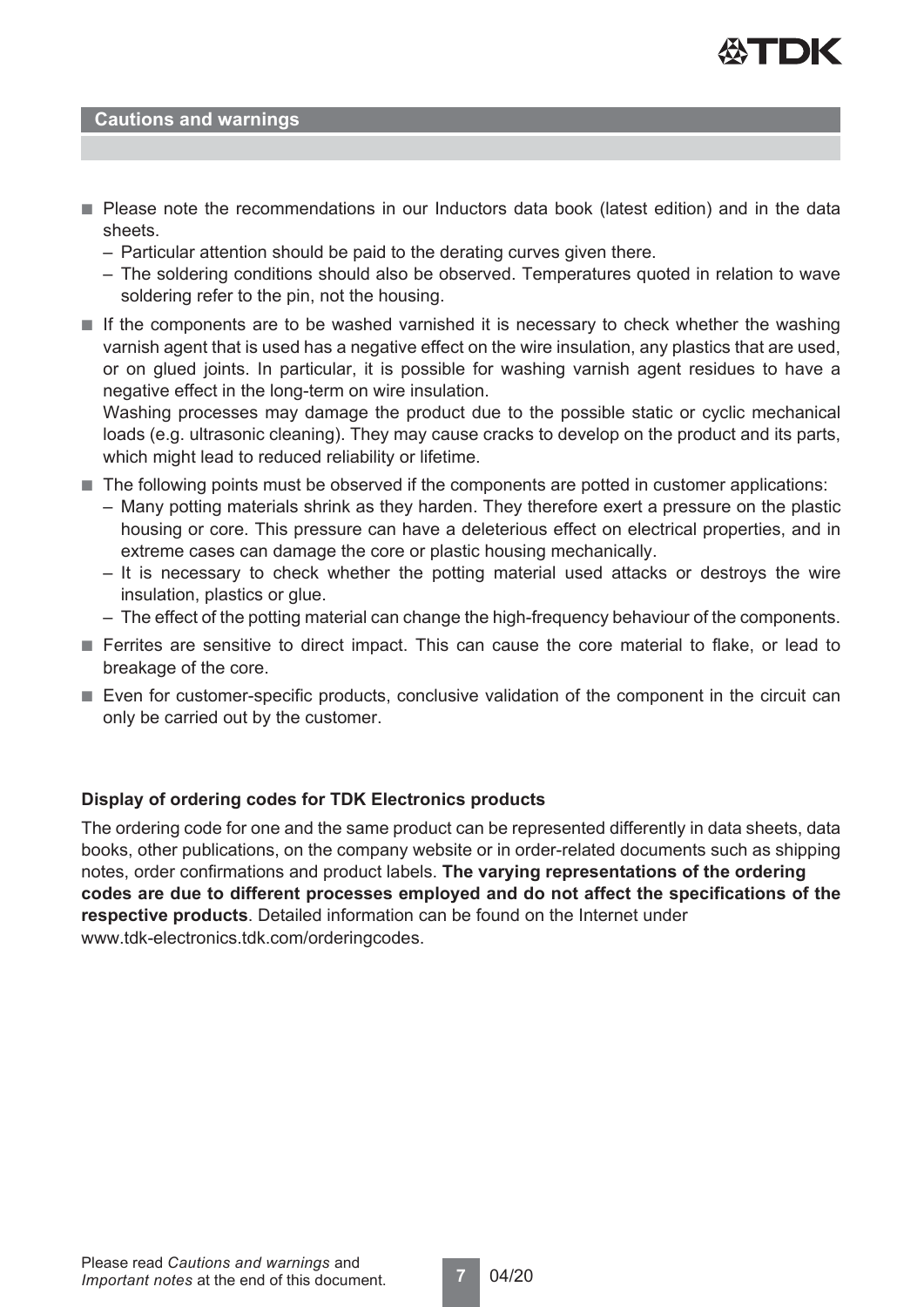

#### **Cautions and warnings**

- Please note the recommendations in our Inductors data book (latest edition) and in the data sheets.
	- Particular attention should be paid to the derating curves given there.
	- The soldering conditions should also be observed. Temperatures quoted in relation to wave soldering refer to the pin, not the housing.
- If the components are to be washed varnished it is necessary to check whether the washing varnish agent that is used has a negative effect on the wire insulation, any plastics that are used, or on glued joints. In particular, it is possible for washing varnish agent residues to have a negative effect in the long-term on wire insulation.

Washing processes may damage the product due to the possible static or cyclic mechanical loads (e.g. ultrasonic cleaning). They may cause cracks to develop on the product and its parts, which might lead to reduced reliability or lifetime.

- The following points must be observed if the components are potted in customer applications:
	- Many potting materials shrink as they harden. They therefore exert a pressure on the plastic housing or core. This pressure can have a deleterious effect on electrical properties, and in extreme cases can damage the core or plastic housing mechanically.
	- It is necessary to check whether the potting material used attacks or destroys the wire insulation, plastics or glue.
	- The effect of the potting material can change the high-frequency behaviour of the components.
- Ferrites are sensitive to direct impact. This can cause the core material to flake, or lead to breakage of the core.
- Even for customer-specific products, conclusive validation of the component in the circuit can only be carried out by the customer.

# **Display of ordering codes for TDK Electronics products**

The ordering code for one and the same product can be represented differently in data sheets, data books, other publications, on the company website or in order-related documents such as shipping notes, order confirmations and product labels. **The varying representations of the ordering codes are due to different processes employed and do not affect the specifications of the respective products**. Detailed information can be found on the Internet under www.tdk-electronics.tdk.com/orderingcodes.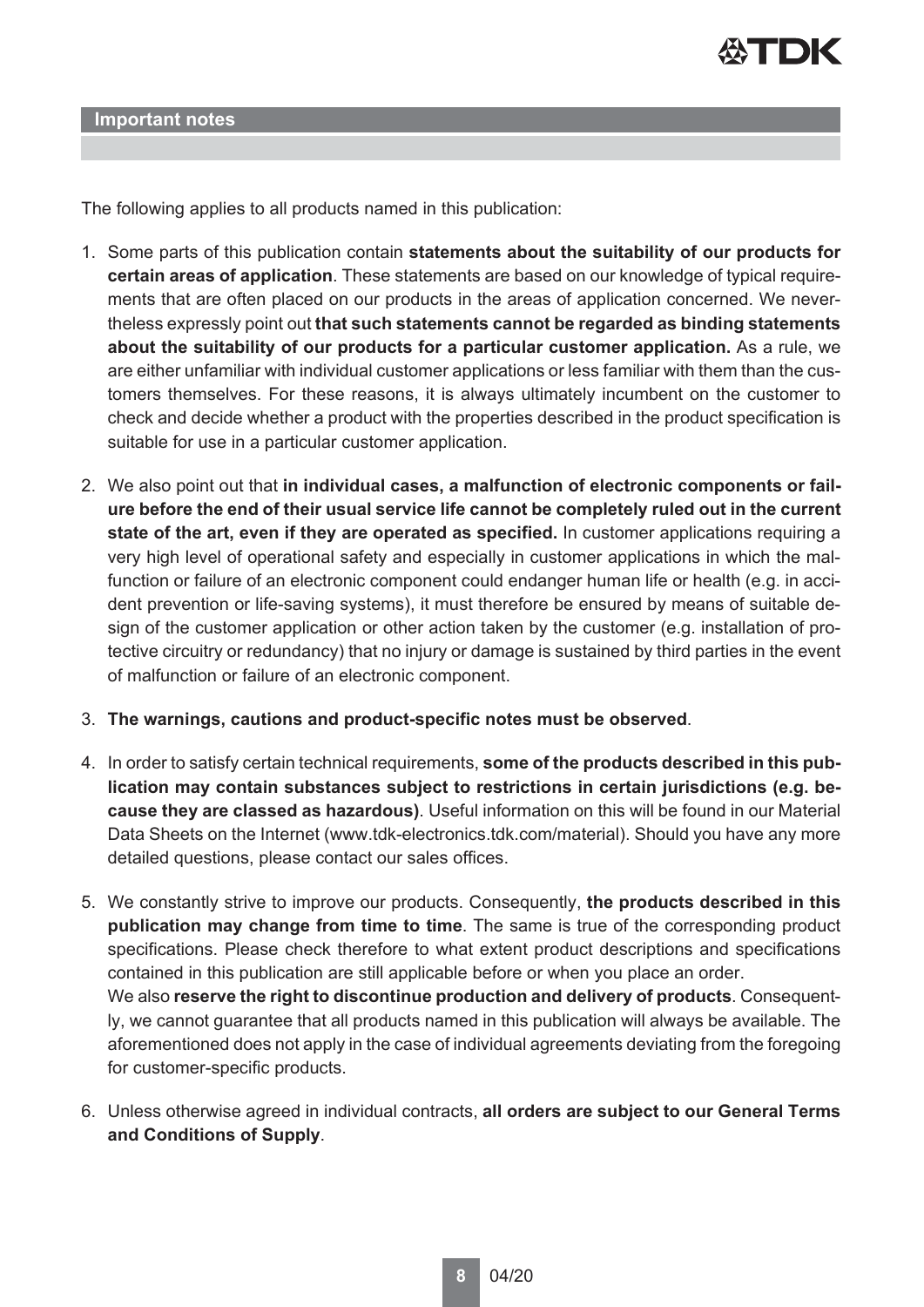

**Important notes**

The following applies to all products named in this publication:

- 1. Some parts of this publication contain **statements about the suitability of our products for certain areas of application**. These statements are based on our knowledge of typical requirements that are often placed on our products in the areas of application concerned. We nevertheless expressly point out **that such statements cannot be regarded as binding statements about the suitability of our products for a particular customer application.** As a rule, we are either unfamiliar with individual customer applications or less familiar with them than the customers themselves. For these reasons, it is always ultimately incumbent on the customer to check and decide whether a product with the properties described in the product specification is suitable for use in a particular customer application.
- 2. We also point out that **in individual cases, a malfunction of electronic components or failure before the end of their usual service life cannot be completely ruled out in the current state of the art, even if they are operated as specified.** In customer applications requiring a very high level of operational safety and especially in customer applications in which the malfunction or failure of an electronic component could endanger human life or health (e.g. in accident prevention or life-saving systems), it must therefore be ensured by means of suitable design of the customer application or other action taken by the customer (e.g. installation of protective circuitry or redundancy) that no injury or damage is sustained by third parties in the event of malfunction or failure of an electronic component.
- 3. **The warnings, cautions and product-specific notes must be observed**.
- 4. In order to satisfy certain technical requirements, **some of the products described in this publication may contain substances subject to restrictions in certain jurisdictions (e.g. because they are classed as hazardous)**. Useful information on this will be found in our Material Data Sheets on the Internet (www.tdk-electronics.tdk.com/material). Should you have any more detailed questions, please contact our sales offices.
- 5. We constantly strive to improve our products. Consequently, **the products described in this publication may change from time to time**. The same is true of the corresponding product specifications. Please check therefore to what extent product descriptions and specifications contained in this publication are still applicable before or when you place an order. We also **reserve the right to discontinue production and delivery of products**. Consequently, we cannot guarantee that all products named in this publication will always be available. The aforementioned does not apply in the case of individual agreements deviating from the foregoing for customer-specific products.
- 6. Unless otherwise agreed in individual contracts, **all orders are subject to our General Terms and Conditions of Supply**.